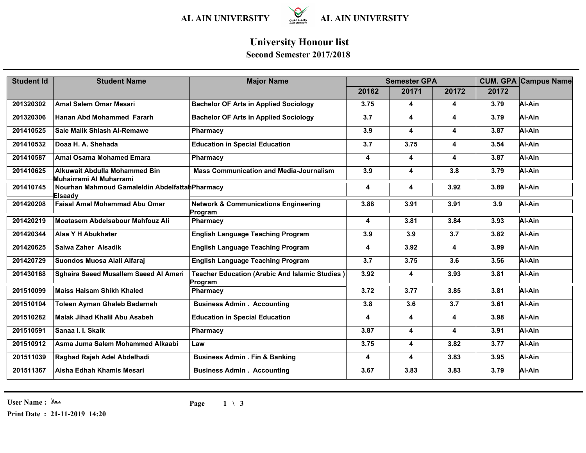

## **University Honour list**

### **Second Semester 2017/2018**

| <b>Student Id</b> | <b>Student Name</b>                                        | <b>Major Name</b>                                                | <b>Semester GPA</b> |                         |                         | <b>CUM. GPA Campus Name</b> |        |
|-------------------|------------------------------------------------------------|------------------------------------------------------------------|---------------------|-------------------------|-------------------------|-----------------------------|--------|
|                   |                                                            |                                                                  | 20162               | 20171                   | 20172                   | 20172                       |        |
| 201320302         | <b>Amal Salem Omar Mesari</b>                              | <b>Bachelor OF Arts in Applied Sociology</b>                     | 3.75                | 4                       | 4                       | 3.79                        | Al-Ain |
| 201320306         | Hanan Abd Mohammed Fararh                                  | <b>Bachelor OF Arts in Applied Sociology</b>                     | 3.7                 | 4                       | $\overline{\mathbf{4}}$ | 3.79                        | Al-Ain |
| 201410525         | <b>Sale Malik Shlash Al-Remawe</b>                         | Pharmacy                                                         | 3.9                 | 4                       | $\overline{\mathbf{4}}$ | 3.87                        | Al-Ain |
| 201410532         | Doaa H. A. Shehada                                         | <b>Education in Special Education</b>                            | 3.7                 | 3.75                    | 4                       | 3.54                        | Al-Ain |
| 201410587         | <b>Amal Osama Mohamed Emara</b>                            | Pharmacy                                                         | 4                   | 4                       | 4                       | 3.87                        | Al-Ain |
| 201410625         | Alkuwait Abdulla Mohammed Bin<br>Muhairrami Al Muharrami   | <b>Mass Communication and Media-Journalism</b>                   | 3.9                 | 4                       | 3.8                     | 3.79                        | Al-Ain |
| 201410745         | Nourhan Mahmoud Gamaleldin Abdelfattah Pharmacy<br>Elsaady |                                                                  | 4                   | 4                       | 3.92                    | 3.89                        | Al-Ain |
| 201420208         | <b>Faisal Amal Mohammad Abu Omar</b>                       | <b>Network &amp; Communications Engineering</b><br>Program       | 3.88                | 3.91                    | 3.91                    | 3.9                         | Al-Ain |
| 201420219         | <b>Moatasem Abdelsabour Mahfouz Ali</b>                    | Pharmacy                                                         | 4                   | 3.81                    | 3.84                    | 3.93                        | Al-Ain |
| 201420344         | Alaa Y H Abukhater                                         | <b>English Language Teaching Program</b>                         | 3.9                 | 3.9                     | 3.7                     | 3.82                        | Al-Ain |
| 201420625         | Salwa Zaher Alsadik                                        | <b>English Language Teaching Program</b>                         | 4                   | 3.92                    | 4                       | 3.99                        | Al-Ain |
| 201420729         | Suondos Muosa Alali Alfaraj                                | <b>English Language Teaching Program</b>                         | 3.7                 | 3.75                    | 3.6                     | 3.56                        | Al-Ain |
| 201430168         | Sghaira Saeed Musallem Saeed Al Ameri                      | <b>Teacher Education (Arabic And Islamic Studies)</b><br>Program | 3.92                | 4                       | 3.93                    | 3.81                        | Al-Ain |
| 201510099         | <b>Maiss Haisam Shikh Khaled</b>                           | Pharmacy                                                         | 3.72                | 3.77                    | 3.85                    | 3.81                        | Al-Ain |
| 201510104         | <b>Toleen Ayman Ghaleb Badarneh</b>                        | <b>Business Admin . Accounting</b>                               | 3.8                 | 3.6                     | 3.7                     | 3.61                        | Al-Ain |
| 201510282         | Malak Jihad Khalil Abu Asabeh                              | <b>Education in Special Education</b>                            | 4                   | 4                       | $\overline{\mathbf{4}}$ | 3.98                        | Al-Ain |
| 201510591         | Sanaa I. I. Skaik                                          | Pharmacy                                                         | 3.87                | $\overline{\mathbf{4}}$ | 4                       | 3.91                        | Al-Ain |
| 201510912         | Asma Juma Salem Mohammed Alkaabi                           | Law                                                              | 3.75                | 4                       | 3.82                    | 3.77                        | Al-Ain |
| 201511039         | Raghad Rajeh Adel Abdelhadi                                | <b>Business Admin . Fin &amp; Banking</b>                        | 4                   | 4                       | 3.83                    | 3.95                        | Al-Ain |
| 201511367         | Aisha Edhah Khamis Mesari                                  | <b>Business Admin . Accounting</b>                               | 3.67                | 3.83                    | 3.83                    | 3.79                        | Al-Ain |

**User Name : معاذ**

**Print Date : 21-11-2019 14:20**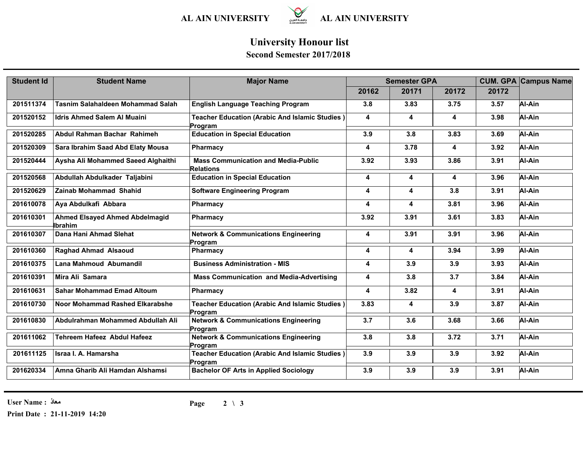

## **University Honour list**

### **Second Semester 2017/2018**

| <b>Student Id</b> | <b>Student Name</b>                              | <b>Major Name</b>                                                | <b>Semester GPA</b> |                         |                         | <b>CUM. GPA Campus Name</b> |        |
|-------------------|--------------------------------------------------|------------------------------------------------------------------|---------------------|-------------------------|-------------------------|-----------------------------|--------|
|                   |                                                  |                                                                  | 20162               | 20171                   | 20172                   | 20172                       |        |
| 201511374         | Tasnim Salahaldeen Mohammad Salah                | <b>English Language Teaching Program</b>                         | 3.8                 | 3.83                    | 3.75                    | 3.57                        | Al-Ain |
| 201520152         | <b>Idris Ahmed Salem Al Muaini</b>               | <b>Teacher Education (Arabic And Islamic Studies)</b><br>Program | 4                   | 4                       | 4                       | 3.98                        | Al-Ain |
| 201520285         | Abdul Rahman Bachar Rahimeh                      | <b>Education in Special Education</b>                            | 3.9                 | 3.8                     | 3.83                    | 3.69                        | Al-Ain |
| 201520309         | Sara Ibrahim Saad Abd Elaty Mousa                | Pharmacy                                                         | 4                   | 3.78                    | $\overline{\mathbf{4}}$ | 3.92                        | Al-Ain |
| 201520444         | Aysha Ali Mohammed Saeed Alghaithi               | <b>Mass Communication and Media-Public</b><br><b>Relations</b>   | 3.92                | 3.93                    | 3.86                    | 3.91                        | Al-Ain |
| 201520568         | Abdullah Abdulkader Taljabini                    | <b>Education in Special Education</b>                            | 4                   | 4                       | 4                       | 3.96                        | Al-Ain |
| 201520629         | Zainab Mohammad Shahid                           | <b>Software Engineering Program</b>                              | 4                   | $\overline{\mathbf{4}}$ | 3.8                     | 3.91                        | Al-Ain |
| 201610078         | Aya Abdulkafi Abbara                             | Pharmacy                                                         | 4                   | 4                       | 3.81                    | 3.96                        | Al-Ain |
| 201610301         | <b>Ahmed Elsayed Ahmed Abdelmagid</b><br>Ibrahim | <b>Pharmacy</b>                                                  | 3.92                | 3.91                    | 3.61                    | 3.83                        | Al-Ain |
| 201610307         | Dana Hani Ahmad Slehat                           | <b>Network &amp; Communications Engineering</b><br>Program       | 4                   | 3.91                    | 3.91                    | 3.96                        | Al-Ain |
| 201610360         | <b>Raghad Ahmad Alsaoud</b>                      | <b>Pharmacy</b>                                                  | 4                   | 4                       | 3.94                    | 3.99                        | Al-Ain |
| 201610375         | Lana Mahmoud Abumandil                           | <b>Business Administration - MIS</b>                             | 4                   | 3.9                     | 3.9                     | 3.93                        | Al-Ain |
| 201610391         | Mira Ali Samara                                  | <b>Mass Communication and Media-Advertising</b>                  | 4                   | 3.8                     | 3.7                     | 3.84                        | Al-Ain |
| 201610631         | <b>Sahar Mohammad Emad Altoum</b>                | Pharmacy                                                         | 4                   | 3.82                    | 4                       | 3.91                        | Al-Ain |
| 201610730         | Noor Mohammad Rashed Elkarabshe                  | <b>Teacher Education (Arabic And Islamic Studies)</b><br>Program | 3.83                | 4                       | 3.9                     | 3.87                        | Al-Ain |
| 201610830         | Abdulrahman Mohammed Abdullah Ali                | <b>Network &amp; Communications Engineering</b><br>Program       | 3.7                 | 3.6                     | 3.68                    | 3.66                        | Al-Ain |
| 201611062         | <b>Tehreem Hafeez Abdul Hafeez</b>               | <b>Network &amp; Communications Engineering</b><br>Program       | 3.8                 | 3.8                     | 3.72                    | 3.71                        | Al-Ain |
| 201611125         | Israa I. A. Hamarsha                             | <b>Teacher Education (Arabic And Islamic Studies)</b><br>Program | 3.9                 | 3.9                     | 3.9                     | 3.92                        | Al-Ain |
| 201620334         | Amna Gharib Ali Hamdan Alshamsi                  | <b>Bachelor OF Arts in Applied Sociology</b>                     | 3.9                 | 3.9                     | 3.9                     | 3.91                        | Al-Ain |

**User Name : معاذ**

**Print Date : 21-11-2019 14:20**